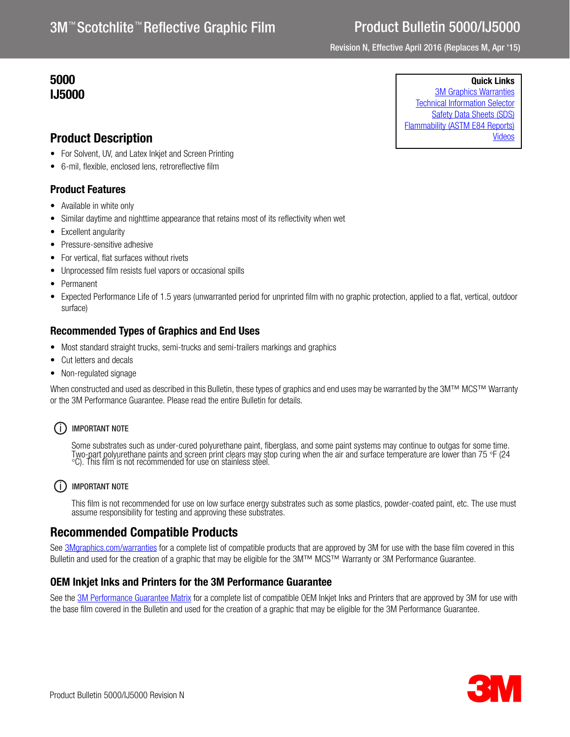# Product Bulletin 5000/IJ5000

Revision N, Effective April 2016 (Replaces M, Apr '15)

## 5000 IJ5000

Quick Links

[3M Graphics Warranties](http://solutions.3m.com/wps/portal/3M/en_US/Graphics/3Mgraphics/ToolsandSupport/Warranties/?WT.mc_id=www.3mgraphics.com/warranties) [Technical Information Selector](http://solutions.3m.com/wps/portal/3M/en_US/Graphics/3Mgraphics/ToolsAndSupport/TechnicalInformation/) [Safety Data Sheets \(SDS\)](http://solutions.3m.com/wps/portal/3M/en_WW/MSDS/Search?gsaAction=msdsSRA) [Flammability \(ASTM E84 Reports\)](#page-1-0) [Videos](http://solutions.3m.com/wps/portal/3M/en_US/Graphics/3Mgraphics/ToolsAndSupport/Videos/)

## Product Description

- For Solvent, UV, and Latex Inkjet and Screen Printing
- 6-mil, flexible, enclosed lens, retroreflective film

## Product Features

- Available in white only
- Similar daytime and nighttime appearance that retains most of its reflectivity when wet
- Excellent angularity
- Pressure-sensitive adhesive
- For vertical, flat surfaces without rivets
- Unprocessed film resists fuel vapors or occasional spills
- Permanent
- Expected Performance Life of 1.5 years (unwarranted period for unprinted film with no graphic protection, applied to a flat, vertical, outdoor surface)

## Recommended Types of Graphics and End Uses

- Most standard straight trucks, semi-trucks and semi-trailers markings and graphics
- Cut letters and decals
- Non-regulated signage

When constructed and used as described in this Bulletin, these types of graphics and end uses may be warranted by the 3M™ MCS™ Warranty or the 3M Performance Guarantee. Please read the entire Bulletin for details.

## (i) IMPORTANT NOTE

Some substrates such as under-cured polyurethane paint, fiberglass, and some paint systems may continue to outgas for some time.<br>Two-part polyurethane paints and screen print clears may stop curing when the air and surface

## (i) IMPORTANT NOTE

This film is not recommended for use on low surface energy substrates such as some plastics, powder-coated paint, etc. The use must assume responsibility for testing and approving these substrates.

## Recommended Compatible Products

See [3Mgraphics.com/warranties](http://solutions.3m.com/wps/portal/3M/en_US/Graphics/3Mgraphics/ToolsandSupport/Warranties/?WT.mc_id=www.3mgraphics.com/warranties) for a complete list of compatible products that are approved by 3M for use with the base film covered in this Bulletin and used for the creation of a graphic that may be eligible for the 3M™ MCS™ Warranty or 3M Performance Guarantee.

## OEM Inkjet Inks and Printers for the 3M Performance Guarantee

See the [3M Performance Guarantee Matrix](http://multimedia.3m.com/mws/media/443364O/pg-printer-ink-film-linked-warranty-matrix.pdf?fn=PG%20Warranty%20Matrix.pdf) for a complete list of compatible OEM Inkjet Inks and Printers that are approved by 3M for use with the base film covered in the Bulletin and used for the creation of a graphic that may be eligible for the 3M Performance Guarantee.

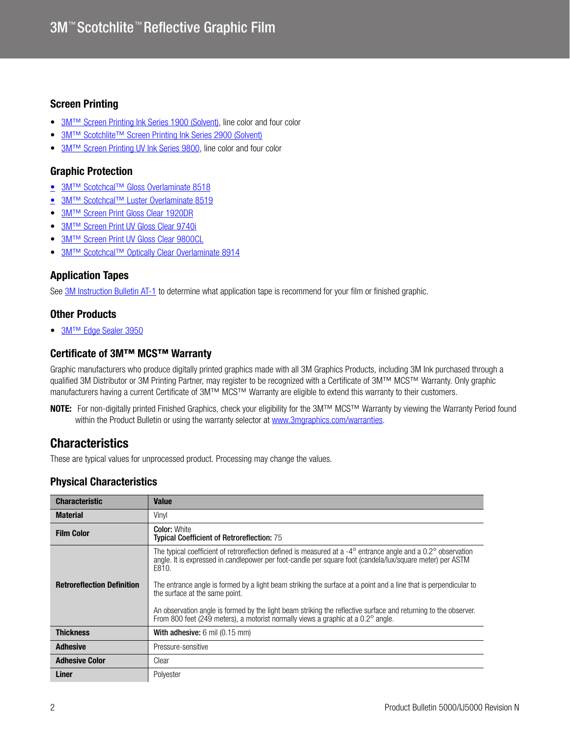### Screen Printing

- 3M<sup>™</sup> Screen Printing Ink Series 1900 (Solvent), line color and four color
- 3M<sup>™</sup> Scotchlite<sup>™</sup> Screen Printing Ink Series 2900 (Solvent)
- [3M™ Screen Printing UV Ink Series 9800](http://multimedia.3m.com/mws/media/381379O/9800-uv-screen-print-ink-line-and-four-color-clears.pdf), line color and four color

### Graphic Protection

- [3M™ Scotchcal™ Gloss Overlaminate 8518](http://multimedia.3m.com/mws/media/1095387O/3m-scotchcal-overlaminate-product-bulletin.pdf)
- 3M<sup>™</sup> Scotchcal™ Luster Overlaminate 8519
- [3M™ Screen Print Gloss Clear 1920DR](http://multimedia.3m.com/mws/media/12348O/1900-solvent-screen-print-ink-line-and-four-color-clears.pdf)
- **[3M™ Screen Print UV Gloss Clear 9740i](http://multimedia.3m.com/mws/media/819249O/uv-clear-coats.pdf)**
- **[3M™ Screen Print UV Gloss Clear 9800CL](http://multimedia.3m.com/mws/media/381379O/9800-uv-screen-print-ink-line-and-four-color-clears.pdf)**
- [3M™ Scotchcal™ Optically Clear Overlaminate 8914](http://multimedia.3m.com/mws/media/558531O/product-bulletin-gp-1.pdf)

### Application Tapes

See [3M Instruction Bulletin AT-1](http://multimedia.3m.com/mws/media/1032943O/instruction-bulletin-at-1-application-tables.pdf) to determine what application tape is recommend for your film or finished graphic.

## Other Products

● [3M™ Edge Sealer 3950](http://multimedia.3m.com/mws/media/114158O/edge-sealer-3950-4150s-and-edge-sealer-tape-8914.pdf)

### Certificate of 3M™ MCS™ Warranty

Graphic manufacturers who produce digitally printed graphics made with all 3M Graphics Products, including 3M Ink purchased through a qualified 3M Distributor or 3M Printing Partner, may register to be recognized with a Certificate of 3M™ MCS™ Warranty. Only graphic manufacturers having a current Certificate of 3M™ MCS™ Warranty are eligible to extend this warranty to their customers.

NOTE: For non-digitally printed Finished Graphics, check your eligibility for the 3M™ MCS™ Warranty by viewing the Warranty Period found within the Product Bulletin or using the warranty selector at<www.3mgraphics.com/warranties>.

## **Characteristics**

These are typical values for unprocessed product. Processing may change the values.

## <span id="page-1-0"></span>Physical Characteristics

| <b>Characteristic</b>             | <b>Value</b>                                                                                                                                                                                                                                                                                                                                                                                                                                                                                                                                                                                                                  |
|-----------------------------------|-------------------------------------------------------------------------------------------------------------------------------------------------------------------------------------------------------------------------------------------------------------------------------------------------------------------------------------------------------------------------------------------------------------------------------------------------------------------------------------------------------------------------------------------------------------------------------------------------------------------------------|
| <b>Material</b>                   | Vinyl                                                                                                                                                                                                                                                                                                                                                                                                                                                                                                                                                                                                                         |
| <b>Film Color</b>                 | <b>Color: White</b><br><b>Typical Coefficient of Retroreflection: 75</b>                                                                                                                                                                                                                                                                                                                                                                                                                                                                                                                                                      |
| <b>Retroreflection Definition</b> | The typical coefficient of retroreflection defined is measured at a -4 $^{\circ}$ entrance angle and a 0.2 $^{\circ}$ observation<br>angle. It is expressed in candlepower per foot-candle per square foot (candela/lux/square meter) per ASTM<br>E810.<br>The entrance angle is formed by a light beam striking the surface at a point and a line that is perpendicular to<br>the surface at the same point.<br>An observation angle is formed by the light beam striking the reflective surface and returning to the observer.<br>From 800 feet (249 meters), a motorist normally views a graphic at a $0.2^{\circ}$ angle. |
| <b>Thickness</b>                  | <b>With adhesive:</b> $6 \text{ mil}$ (0.15 mm)                                                                                                                                                                                                                                                                                                                                                                                                                                                                                                                                                                               |
| <b>Adhesive</b>                   | Pressure-sensitive                                                                                                                                                                                                                                                                                                                                                                                                                                                                                                                                                                                                            |
| <b>Adhesive Color</b>             | Clear                                                                                                                                                                                                                                                                                                                                                                                                                                                                                                                                                                                                                         |
| Liner                             | Polyester                                                                                                                                                                                                                                                                                                                                                                                                                                                                                                                                                                                                                     |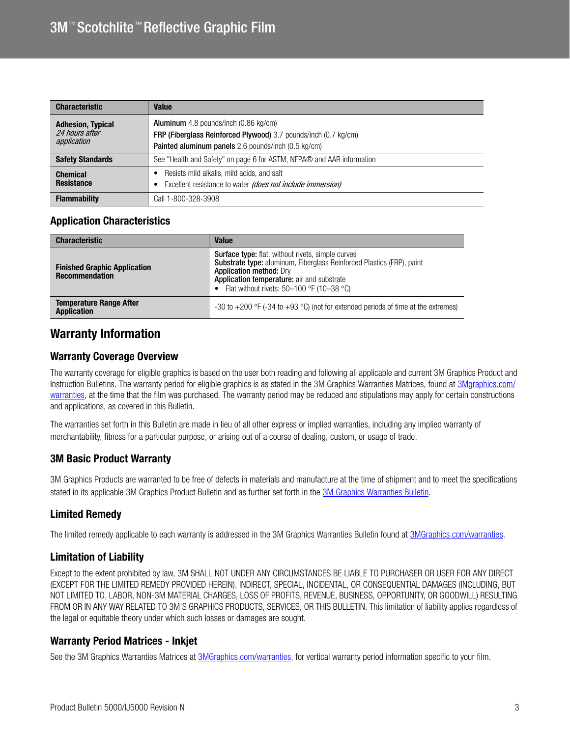| <b>Characteristic</b>                                     | <b>Value</b>                                                                                                                                                                  |
|-----------------------------------------------------------|-------------------------------------------------------------------------------------------------------------------------------------------------------------------------------|
| <b>Adhesion, Typical</b><br>24 hours after<br>application | <b>Aluminum</b> 4.8 pounds/inch (0.86 kg/cm)<br><b>FRP (Fiberglass Reinforced Plywood)</b> 3.7 pounds/inch (0.7 kg/cm)<br>Painted aluminum panels 2.6 pounds/inch (0.5 kg/cm) |
| <b>Safety Standards</b>                                   | See "Health and Safety" on page 6 for ASTM, NFPA® and AAR information                                                                                                         |
| <b>Chemical</b><br><b>Resistance</b>                      | Resists mild alkalis, mild acids, and salt<br>Excellent resistance to water (does not include immersion)                                                                      |
| <b>Flammability</b>                                       | Call 1-800-328-3908                                                                                                                                                           |

## Application Characteristics

| <b>Characteristic</b>                                        | <b>Value</b>                                                                                                                                                                                                                                                       |
|--------------------------------------------------------------|--------------------------------------------------------------------------------------------------------------------------------------------------------------------------------------------------------------------------------------------------------------------|
| <b>Finished Graphic Application</b><br><b>Recommendation</b> | <b>Surface type:</b> flat, without rivets, simple curves<br>Substrate type: aluminum, Fiberglass Reinforced Plastics (FRP), paint<br><b>Application method: Drv</b><br>Application temperature: air and substrate<br>• Flat without rivets: $50-100$ °F (10-38 °C) |
| <b>Temperature Range After</b><br><b>Application</b>         | -30 to +200 °F (-34 to +93 °C) (not for extended periods of time at the extremes)                                                                                                                                                                                  |

## Warranty Information

### Warranty Coverage Overview

The warranty coverage for eligible graphics is based on the user both reading and following all applicable and current 3M Graphics Product and Instruction Bulletins. The warranty period for eligible graphics is as stated in the 3M Graphics Warranties Matrices, found at [3Mgraphics.com/](http://solutions.3m.com/wps/portal/3M/en_US/Graphics/3Mgraphics/ToolsAndSupport/Warranties/) [warranties,](http://solutions.3m.com/wps/portal/3M/en_US/Graphics/3Mgraphics/ToolsAndSupport/Warranties/) at the time that the film was purchased. The warranty period may be reduced and stipulations may apply for certain constructions and applications, as covered in this Bulletin.

The warranties set forth in this Bulletin are made in lieu of all other express or implied warranties, including any implied warranty of merchantability, fitness for a particular purpose, or arising out of a course of dealing, custom, or usage of trade.

### 3M Basic Product Warranty

3M Graphics Products are warranted to be free of defects in materials and manufacture at the time of shipment and to meet the specifications stated in its applicable 3M Graphics Product Bulletin and as further set forth in the [3M Graphics Warranties Bulletin.](http://multimedia.3m.com/mws/media/1034875O/3mtm-graphics-warranty-bulletin.pdf?fn=Warranty%20Bulletin.pdf)

## Limited Remedy

The limited remedy applicable to each warranty is addressed in the 3M Graphics Warranties Bulletin found at [3MGraphics.com/warranties.](www.3mgraphics.com/warranties)

## Limitation of Liability

Except to the extent prohibited by law, 3M SHALL NOT UNDER ANY CIRCUMSTANCES BE LIABLE TO PURCHASER OR USER FOR ANY DIRECT (EXCEPT FOR THE LIMITED REMEDY PROVIDED HEREIN), INDIRECT, SPECIAL, INCIDENTAL, OR CONSEQUENTIAL DAMAGES (INCLUDING, BUT NOT LIMITED TO, LABOR, NON-3M MATERIAL CHARGES, LOSS OF PROFITS, REVENUE, BUSINESS, OPPORTUNITY, OR GOODWILL) RESULTING FROM OR IN ANY WAY RELATED TO 3M'S GRAPHICS PRODUCTS, SERVICES, OR THIS BULLETIN. This limitation of liability applies regardless of the legal or equitable theory under which such losses or damages are sought.

## Warranty Period Matrices - Inkjet

See the 3M Graphics Warranties Matrices at [3MGraphics.com/warranties,](http://solutions.3m.com/wps/portal/3M/en_US/Graphics/3Mgraphics/ToolsandSupport/Warranties/?WT.mc_id=www.3mgraphics.com/warranties) for vertical warranty period information specific to your film.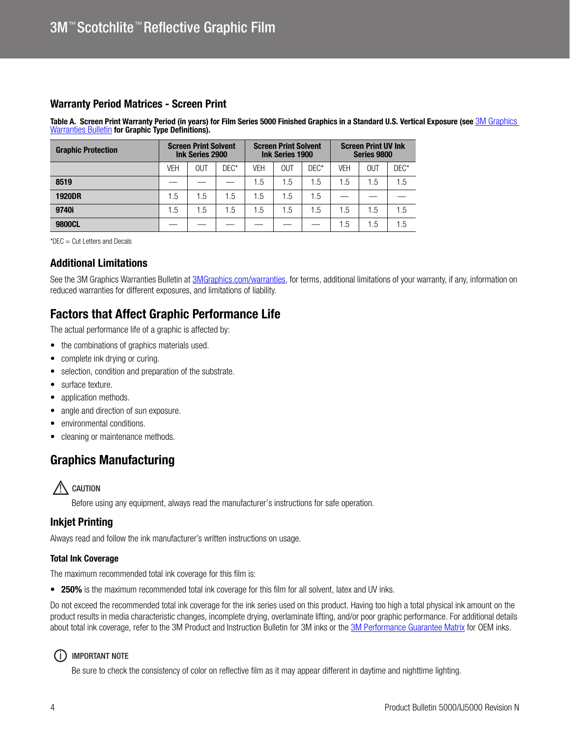### Warranty Period Matrices - Screen Print

Table A. Screen Print Warranty Period (in years) for Film Series 5000 Finished Graphics in a Standard U.S. Vertical Exposure (see 3M Graphics **[Warranties Bulletin](http://multimedia.3m.com/mws/media/1034875O/3mtm-graphics-warranty-bulletin.pdf) for Graphic Type Definitions).** 

| <b>Graphic Protection</b> | <b>Screen Print Solvent</b><br><b>Ink Series 2900</b> |            |         | <b>Screen Print Solvent</b><br><b>Ink Series 1900</b> |     |         | <b>Screen Print UV Ink</b><br>Series 9800 |     |      |
|---------------------------|-------------------------------------------------------|------------|---------|-------------------------------------------------------|-----|---------|-------------------------------------------|-----|------|
|                           | <b>VEH</b>                                            | <b>OUT</b> | $DEC^*$ | VEH                                                   | OUT | $DEC^*$ | <b>VEH</b>                                | OUT | DEC* |
| 8519                      |                                                       |            |         | 1.5                                                   | 1.5 | 1.5     | 1.5                                       | 1.5 | 1.5  |
| <b>1920DR</b>             | $.5\,$                                                | 1.5        | 1.5     | 1.5                                                   | 1.5 | 1.5     |                                           |     |      |
| 9740i                     | .5                                                    | ī.5        | 1.5     | 1.5                                                   | 1.5 | 1.5     | 1.5                                       | 1.5 | 1.5  |
| 9800CL                    |                                                       |            |         |                                                       |     |         | 1.5                                       | 1.5 | 1.5  |

\*DEC = Cut Letters and Decals

### Additional Limitations

See the 3M Graphics Warranties Bulletin at [3MGraphics.com/warranties,](http://solutions.3m.com/wps/portal/3M/en_US/Graphics/3Mgraphics/ToolsandSupport/Warranties/?WT.mc_id=www.3mgraphics.com/warranties) for terms, additional limitations of your warranty, if any, information on reduced warranties for different exposures, and limitations of liability.

## Factors that Affect Graphic Performance Life

The actual performance life of a graphic is affected by:

- the combinations of graphics materials used.
- complete ink drying or curing.
- selection, condition and preparation of the substrate.
- surface texture.
- application methods.
- angle and direction of sun exposure.
- environmental conditions.
- cleaning or maintenance methods.

# Graphics Manufacturing



Before using any equipment, always read the manufacturer's instructions for safe operation.

### Inkjet Printing

Always read and follow the ink manufacturer's written instructions on usage.

#### Total Ink Coverage

The maximum recommended total ink coverage for this film is:

• 250% is the maximum recommended total ink coverage for this film for all solvent, latex and UV inks.

Do not exceed the recommended total ink coverage for the ink series used on this product. Having too high a total physical ink amount on the product results in media characteristic changes, incomplete drying, overlaminate lifting, and/or poor graphic performance. For additional details about total ink coverage, refer to the 3M Product and Instruction Bulletin for 3M inks or the [3M Performance Guarantee Matrix](www.3mgraphics.com/warranties) for OEM inks.

#### (i) IMPORTANT NOTE

Be sure to check the consistency of color on reflective film as it may appear different in daytime and nighttime lighting.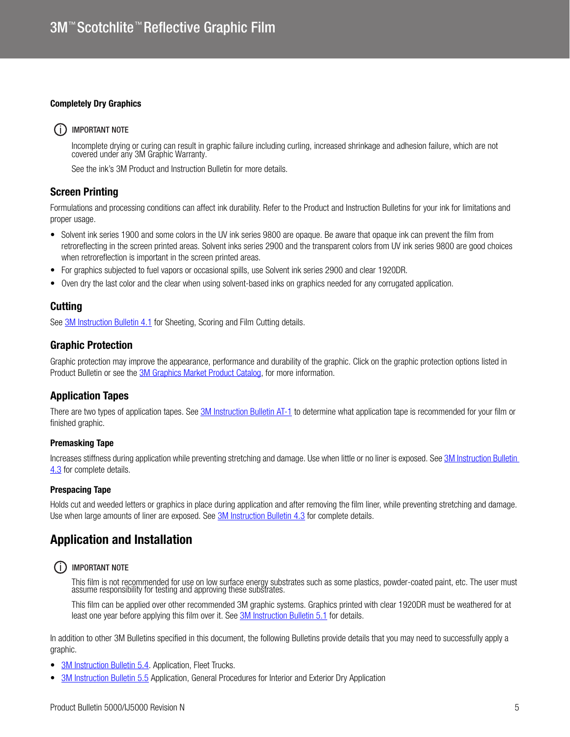#### Completely Dry Graphics

#### (i) IMPORTANT NOTE

Incomplete drying or curing can result in graphic failure including curling, increased shrinkage and adhesion failure, which are not covered under any 3M Graphic Warranty.

See the ink's 3M Product and Instruction Bulletin for more details.

### Screen Printing

Formulations and processing conditions can affect ink durability. Refer to the Product and Instruction Bulletins for your ink for limitations and proper usage.

- Solvent ink series 1900 and some colors in the UV ink series 9800 are opaque. Be aware that opaque ink can prevent the film from retroreflecting in the screen printed areas. Solvent inks series 2900 and the transparent colors from UV ink series 9800 are good choices when retroreflection is important in the screen printed areas.
- For graphics subjected to fuel vapors or occasional spills, use Solvent ink series 2900 and clear 1920DR.
- Oven dry the last color and the clear when using solvent-based inks on graphics needed for any corrugated application.

#### **Cutting**

See [3M Instruction Bulletin 4.1](http://multimedia.3m.com/mws/media/12586O/4-1-scoring-and-cutting.pdf) for Sheeting, Scoring and Film Cutting details.

#### Graphic Protection

Graphic protection may improve the appearance, performance and durability of the graphic. Click on the graphic protection options listed in Product Bulletin or see the **3M Graphics Market Product Catalog**, for more information.

#### Application Tapes

There are two types of application tapes. See [3M Instruction Bulletin AT-1](http://multimedia.3m.com/mws/media/1032943O/instruction-bulletin-at-1-application-tables.pdf) to determine what application tape is recommended for your film or finished graphic.

#### Premasking Tape

Increases stiffness during application while preventing stretching and damage. Use when little or no liner is exposed. See 3M Instruction Bulletin [4.3](http://multimedia.3m.com/mws/media/12587O/4-3-application-tapes-premasking-and-prespacing.pdf) for complete details.

#### Prespacing Tape

Holds cut and weeded letters or graphics in place during application and after removing the film liner, while preventing stretching and damage. Use when large amounts of liner are exposed. See **3M Instruction Bulletin 4.3** for complete details.

## Application and Installation

#### (i) IMPORTANT NOTE

This film is not recommended for use on low surface energy substrates such as some plastics, powder-coated paint, etc. The user must assume responsibility for testing and approving these substrates.

This film can be applied over other recommended 3M graphic systems. Graphics printed with clear 1920DR must be weathered for at least one year before applying this film over it. See **3M Instruction Bulletin 5.1** for details.

In addition to other 3M Bulletins specified in this document, the following Bulletins provide details that you may need to successfully apply a graphic.

- 3M Instruction Bulletin 5.4 Application, Fleet Trucks.
- [3M Instruction Bulletin 5.5](http://multimedia.3m.com/mws/media/9620O/5-5-application-dry-method.pdf) Application, General Procedures for Interior and Exterior Dry Application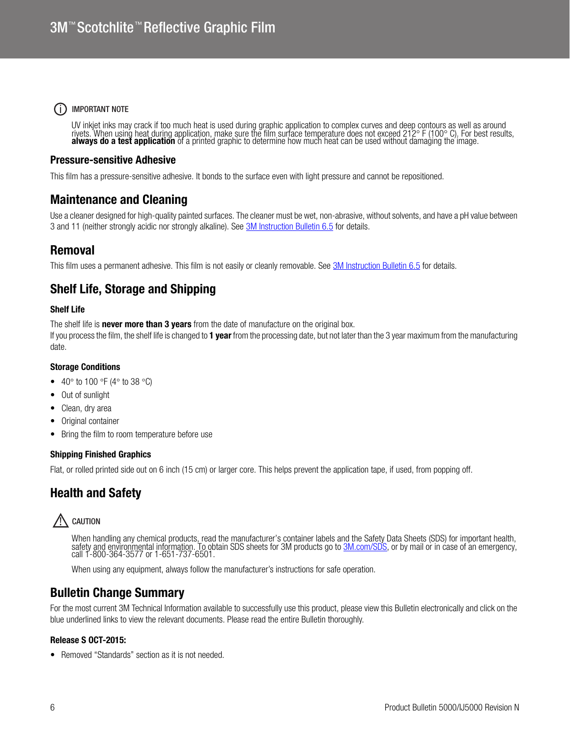### (i) IMPORTANT NOTE

UV inkjet inks may crack if too much heat is used during graphic application to complex curves and deep contours as well as around rivets. When using heat during application, make sure the film surface temperature does not exceed 212° F (100° C). For best results,<br>always do a test application of a printed graphic to determine how much heat can be used

### Pressure-sensitive Adhesive

This film has a pressure-sensitive adhesive. It bonds to the surface even with light pressure and cannot be repositioned.

## Maintenance and Cleaning

Use a cleaner designed for high-quality painted surfaces. The cleaner must be wet, non-abrasive, without solvents, and have a pH value between 3 and 11 (neither strongly acidic nor strongly alkaline). See [3M Instruction Bulletin 6.5](http://multimedia.3m.com/mws/media/12593O/6-5-storage-handling-maintenance-removal-of-films-sheetings.pdf) for details.

## Removal

This film uses a permanent adhesive. This film is not easily or cleanly removable. See [3M Instruction Bulletin 6.5](http://multimedia.3m.com/mws/media/12593O/6-5-storage-handling-maintenance-removal-of-films-sheetings.pdf) for details.

## Shelf Life, Storage and Shipping

#### Shelf Life

The shelf life is **never more than 3 years** from the date of manufacture on the original box.

If you process the film, the shelf life is changed to **1 year** from the processing date, but not later than the 3 year maximum from the manufacturing date.

#### Storage Conditions

- 40 $\degree$  to 100  $\degree$ F (4 $\degree$  to 38  $\degree$ C)
- Out of sunlight
- Clean, dry area
- Original container
- Bring the film to room temperature before use

#### Shipping Finished Graphics

Flat, or rolled printed side out on 6 inch (15 cm) or larger core. This helps prevent the application tape, if used, from popping off.

# Health and Safety

# $\sqrt{N}$  caution

When handling any chemical products, read the manufacturer's container labels and the Safety Data Sheets (SDS) for important health. safety and environmental information. To obtain SDS sheets for 3M products go to [3M.com/SDS,](http://www.3m.com/SDS) or by mail or in case of an emergency,<br>call 1-800-364-3577 or 1-651-737-6501.

When using any equipment, always follow the manufacturer's instructions for safe operation.

## Bulletin Change Summary

For the most current 3M Technical Information available to successfully use this product, please view this Bulletin electronically and click on the blue underlined links to view the relevant documents. Please read the entire Bulletin thoroughly.

#### Release S OCT-2015:

• Removed "Standards" section as it is not needed.